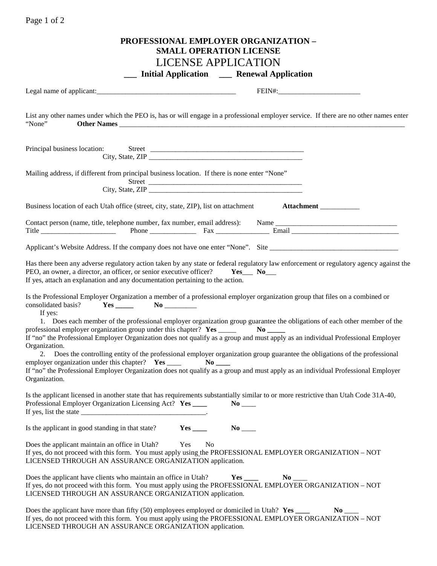| Page 1 of 2                                                                                                                                                                                                                                                                                                                                                                                                                                                                                                                                                                               |
|-------------------------------------------------------------------------------------------------------------------------------------------------------------------------------------------------------------------------------------------------------------------------------------------------------------------------------------------------------------------------------------------------------------------------------------------------------------------------------------------------------------------------------------------------------------------------------------------|
| PROFESSIONAL EMPLOYER ORGANIZATION -<br><b>SMALL OPERATION LICENSE</b><br><b>LICENSE APPLICATION</b>                                                                                                                                                                                                                                                                                                                                                                                                                                                                                      |
| __ Initial Application __ Renewal Application                                                                                                                                                                                                                                                                                                                                                                                                                                                                                                                                             |
|                                                                                                                                                                                                                                                                                                                                                                                                                                                                                                                                                                                           |
| List any other names under which the PEO is, has or will engage in a professional employer service. If there are no other names enter<br>"None"                                                                                                                                                                                                                                                                                                                                                                                                                                           |
|                                                                                                                                                                                                                                                                                                                                                                                                                                                                                                                                                                                           |
| Mailing address, if different from principal business location. If there is none enter "None"                                                                                                                                                                                                                                                                                                                                                                                                                                                                                             |
| Business location of each Utah office (street, city, state, ZIP), list on attachment <b>Attachment</b>                                                                                                                                                                                                                                                                                                                                                                                                                                                                                    |
| Title <u>Communication</u> Phone Phone Fax <b>Email</b> Email                                                                                                                                                                                                                                                                                                                                                                                                                                                                                                                             |
|                                                                                                                                                                                                                                                                                                                                                                                                                                                                                                                                                                                           |
| Has there been any adverse regulatory action taken by any state or federal regulatory law enforcement or regulatory agency against the<br>PEO, an owner, a director, an officer, or senior executive officer? Yes___ No___<br>If yes, attach an explanation and any documentation pertaining to the action.                                                                                                                                                                                                                                                                               |
| Is the Professional Employer Organization a member of a professional employer organization group that files on a combined or<br>consolidated basis?<br>If yes:                                                                                                                                                                                                                                                                                                                                                                                                                            |
| 1. Does each member of the professional employer organization group guarantee the obligations of each other member of the<br>professional employer organization group under this chapter? Yes _____<br>$No$ <sub>---</sub><br>If "no" the Professional Employer Organization does not qualify as a group and must apply as an individual Professional Employer                                                                                                                                                                                                                            |
| Organization.<br>2. Does the controlling entity of the professional employer organization group guarantee the obligations of the professional<br>employer organization under this chapter? Yes ____<br>$\bf No$<br>If "no" the Professional Employer Organization does not qualify as a group and must apply as an individual Professional Employer<br>Organization.                                                                                                                                                                                                                      |
| Is the applicant licensed in another state that has requirements substantially similar to or more restrictive than Utah Code 31A-40,<br>Professional Employer Organization Licensing Act? Yes ____<br>If yes, list the state $\frac{1}{\sqrt{1-\frac{1}{2}}}\left\{ -\frac{1}{2} + \frac{1}{2} + \frac{1}{2} + \frac{1}{2} + \frac{1}{2} + \frac{1}{2} + \frac{1}{2} + \frac{1}{2} + \frac{1}{2} + \frac{1}{2} + \frac{1}{2} + \frac{1}{2} + \frac{1}{2} + \frac{1}{2} + \frac{1}{2} + \frac{1}{2} + \frac{1}{2} + \frac{1}{2} + \frac{1}{2} + \frac{1}{2} + \frac{1}{2} + \frac{1}{2} +$ |
| Is the applicant in good standing in that state?                                                                                                                                                                                                                                                                                                                                                                                                                                                                                                                                          |
| Does the applicant maintain an office in Utah?<br>Yes<br>No<br>If yes, do not proceed with this form. You must apply using the PROFESSIONAL EMPLOYER ORGANIZATION – NOT<br>LICENSED THROUGH AN ASSURANCE ORGANIZATION application.                                                                                                                                                                                                                                                                                                                                                        |
| Does the applicant have clients who maintain an office in Utah?<br>$\bf No$<br>If yes, do not proceed with this form. You must apply using the PROFESSIONAL EMPLOYER ORGANIZATION – NOT<br>LICENSED THROUGH AN ASSURANCE ORGANIZATION application.                                                                                                                                                                                                                                                                                                                                        |
| Does the applicant have more than fifty (50) employees employed or domiciled in Utah? Yes ____<br>If yes, do not proceed with this form. You must apply using the PROFESSIONAL EMPLOYER ORGANIZATION - NOT<br>LICENSED THROUGH AN ASSURANCE ORGANIZATION application.                                                                                                                                                                                                                                                                                                                     |